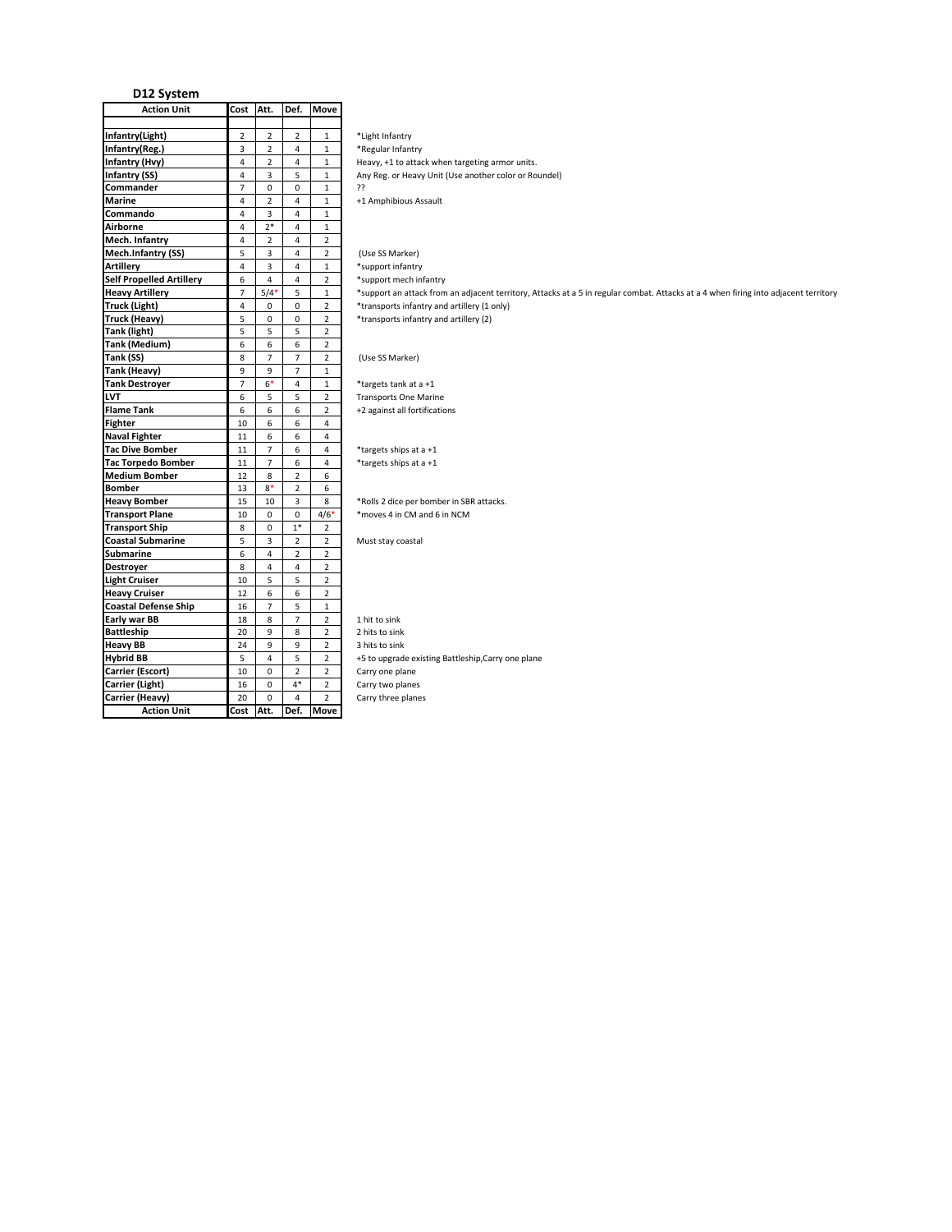| <b>Action Unit</b>              | Cost                    | Att.               | Def.                    | <b>Move</b>    |                                                                                                                                     |
|---------------------------------|-------------------------|--------------------|-------------------------|----------------|-------------------------------------------------------------------------------------------------------------------------------------|
|                                 |                         |                    |                         |                |                                                                                                                                     |
| Infantry(Light)                 | $\overline{2}$          | $\overline{2}$     | $\overline{2}$          | $\mathbf{1}$   | *Light Infantry                                                                                                                     |
| Infantry(Reg.)                  | $\overline{3}$          | $\overline{2}$     | $\overline{4}$          | $\mathbf{1}$   | *Regular Infantry                                                                                                                   |
| Infantry (Hvy)                  | $\overline{4}$          | $\overline{2}$     | $\overline{4}$          | $\mathbf{1}$   | Heavy, +1 to attack when targeting armor units.                                                                                     |
| Infantry (SS)                   | 4                       | $\overline{3}$     | 5                       | $\mathbf{1}$   | Any Reg. or Heavy Unit (Use another color or Roundel)                                                                               |
| Commander                       | $\overline{7}$          | $\mathbf 0$        | $\mathsf{O}\xspace$     | $\mathbf{1}$   | 55                                                                                                                                  |
| <b>Marine</b>                   | $\overline{4}$          | $\overline{2}$     | $\overline{4}$          | $\mathbf{1}$   | +1 Amphibious Assault                                                                                                               |
| Commando                        | $\overline{4}$          | $\overline{3}$     | $\overline{4}$          | $\mathbf{1}$   |                                                                                                                                     |
| Airborne                        | $\overline{4}$          | $2*$               | $\overline{4}$          | $\mathbf{1}$   |                                                                                                                                     |
| Mech. Infantry                  | $\overline{4}$          | $\overline{2}$     | $\overline{4}$          | $\overline{2}$ |                                                                                                                                     |
| Mech.Infantry (SS)              | 5                       | 3                  | $\overline{4}$          | $\overline{2}$ | (Use SS Marker)                                                                                                                     |
| <b>Artillery</b>                | 4                       | 3                  | $\overline{4}$          | $\mathbf{1}$   | *support infantry                                                                                                                   |
| <b>Self Propelled Artillery</b> | 6                       | $\overline{4}$     | $\overline{4}$          | $\overline{2}$ | *support mech infantry                                                                                                              |
| <b>Heavy Artillery</b>          | $\overline{7}$          | $5/4$ <sup>*</sup> | 5                       | $\mathbf{1}$   | *support an attack from an adjacent territory, Attacks at a 5 in regular combat. Attacks at a 4 when firing into adjacent territory |
| <b>Truck (Light)</b>            | $\overline{\mathbf{4}}$ | $\Omega$           | $\mathbf 0$             | $\overline{2}$ | *transports infantry and artillery (1 only)                                                                                         |
| <b>Truck (Heavy)</b>            | 5                       | $\mathbf 0$        | $\mathbf 0$             | $\overline{2}$ | *transports infantry and artillery (2)                                                                                              |
| Tank (light)                    | 5                       | 5                  | 5                       | $\overline{2}$ |                                                                                                                                     |
| Tank (Medium)                   | 6                       | 6                  | 6                       | $\overline{2}$ |                                                                                                                                     |
| Tank (SS)                       | 8                       | $\overline{7}$     | $\overline{7}$          | $\overline{2}$ |                                                                                                                                     |
|                                 |                         |                    |                         |                | (Use SS Marker)                                                                                                                     |
| Tank (Heavy)                    | 9                       | $\overline{9}$     | $\overline{7}$          | $\mathbf{1}$   |                                                                                                                                     |
| <b>Tank Destroyer</b>           | $\overline{7}$          | $6*$               | $\overline{4}$          | $\mathbf{1}$   | *targets tank at a +1                                                                                                               |
| LVT                             | 6                       | 5                  | 5                       | $\overline{2}$ | <b>Transports One Marine</b>                                                                                                        |
| <b>Flame Tank</b>               | 6                       | 6                  | 6                       | $\overline{2}$ | +2 against all fortifications                                                                                                       |
| <b>Fighter</b>                  | 10                      | 6                  | 6                       | $\overline{4}$ |                                                                                                                                     |
| <b>Naval Fighter</b>            | 11                      | 6                  | 6                       | $\overline{4}$ |                                                                                                                                     |
| <b>Tac Dive Bomber</b>          | $11\,$                  | $\overline{7}$     | 6                       | 4              | *targets ships at a +1                                                                                                              |
| <b>Tac Torpedo Bomber</b>       | 11                      | $\overline{7}$     | 6                       | $\overline{4}$ | *targets ships at a +1                                                                                                              |
| <b>Medium Bomber</b>            | 12                      | 8                  | $\overline{2}$          | 6              |                                                                                                                                     |
| <b>Bomber</b>                   | 13                      | $8*$               | $\overline{2}$          | 6              |                                                                                                                                     |
| <b>Heavy Bomber</b>             | 15                      | 10                 | $\overline{\mathbf{3}}$ | 8              | *Rolls 2 dice per bomber in SBR attacks.                                                                                            |
| <b>Transport Plane</b>          | 10                      | $\mathbf 0$        | $\mathsf{O}\xspace$     | $4/6*$         | *moves 4 in CM and 6 in NCM                                                                                                         |
| <b>Transport Ship</b>           | 8                       | $\mathbf 0$        | $1^\ast$                | $\overline{2}$ |                                                                                                                                     |
| <b>Coastal Submarine</b>        | 5                       | 3                  | $\overline{2}$          | $\overline{2}$ | Must stay coastal                                                                                                                   |
| Submarine                       | 6                       | $\overline{4}$     | $\overline{2}$          | $\overline{2}$ |                                                                                                                                     |
| Destroyer                       | 8                       | $\overline{4}$     | $\overline{4}$          | $\overline{2}$ |                                                                                                                                     |
| <b>Light Cruiser</b>            | 10                      | 5                  | 5                       | $\overline{2}$ |                                                                                                                                     |
| <b>Heavy Cruiser</b>            | 12                      | 6                  | 6                       | $\overline{2}$ |                                                                                                                                     |
| <b>Coastal Defense Ship</b>     | 16                      | $\overline{7}$     | 5                       | $\mathbf{1}$   |                                                                                                                                     |
| Early war BB                    | 18                      | 8                  | $\overline{7}$          | $\overline{2}$ | 1 hit to sink                                                                                                                       |
| <b>Battleship</b>               | 20                      | 9                  | 8                       | $\overline{2}$ | 2 hits to sink                                                                                                                      |
| <b>Heavy BB</b>                 | 24                      | $\overline{9}$     | 9                       | $\overline{2}$ | 3 hits to sink                                                                                                                      |
| <b>Hybrid BB</b>                | 5                       | $\overline{4}$     | 5                       | $\overline{2}$ | +5 to upgrade existing Battleship, Carry one plane                                                                                  |
| Carrier (Escort)                | 10                      | $\mathbf 0$        | $\overline{2}$          | $\overline{2}$ | Carry one plane                                                                                                                     |
| Carrier (Light)                 | 16                      | $\mathbf 0$        | $4^\ast$                | $\overline{2}$ | Carry two planes                                                                                                                    |
| Carrier (Heavy)                 | 20                      | $\mathbf 0$        | $\overline{4}$          | $\overline{2}$ | Carry three planes                                                                                                                  |
|                                 |                         |                    |                         |                |                                                                                                                                     |
| <b>Action Unit</b>              | Cost Att.               |                    | Def.                    | <b>Move</b>    |                                                                                                                                     |